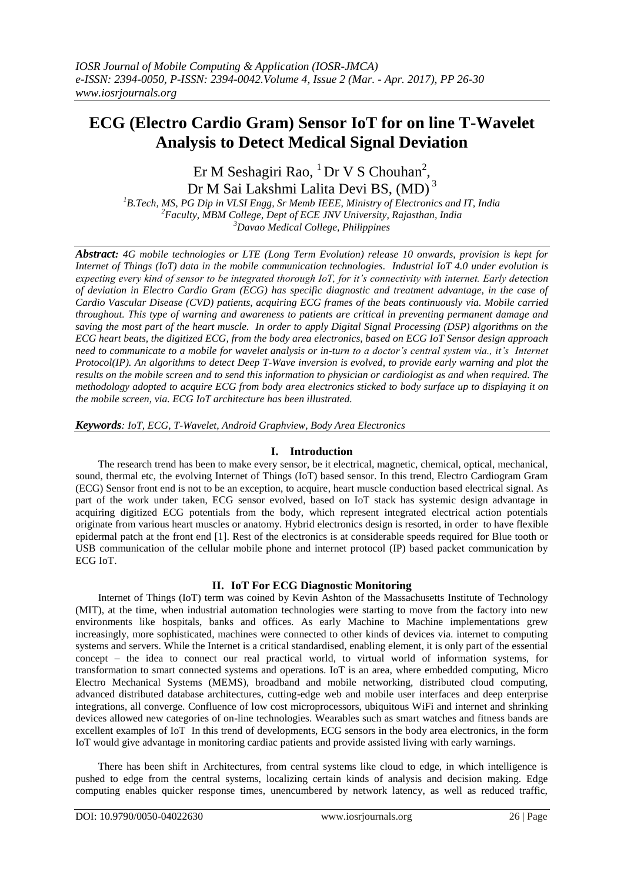# **ECG (Electro Cardio Gram) Sensor IoT for on line T-Wavelet Analysis to Detect Medical Signal Deviation**

Er M Seshagiri Rao,  ${}^{1}$  Dr V S Chouhan<sup>2</sup>, Dr M Sai Lakshmi Lalita Devi BS, (MD)<sup>3</sup>

*<sup>1</sup>B.Tech, MS, PG Dip in VLSI Engg, Sr Memb IEEE, Ministry of Electronics and IT, India <sup>2</sup>Faculty, MBM College, Dept of ECE JNV University, Rajasthan, India <sup>3</sup>Davao Medical College, Philippines*

*Abstract: 4G mobile technologies or LTE (Long Term Evolution) release 10 onwards, provision is kept for Internet of Things (IoT) data in the mobile communication technologies. Industrial IoT 4.0 under evolution is expecting every kind of sensor to be integrated thorough IoT, for it's connectivity with internet. Early detection of deviation in Electro Cardio Gram (ECG) has specific diagnostic and treatment advantage, in the case of Cardio Vascular Disease (CVD) patients, acquiring ECG frames of the beats continuously via. Mobile carried throughout. This type of warning and awareness to patients are critical in preventing permanent damage and saving the most part of the heart muscle. In order to apply Digital Signal Processing (DSP) algorithms on the ECG heart beats, the digitized ECG, from the body area electronics, based on ECG IoT Sensor design approach need to communicate to a mobile for wavelet analysis or in-turn to a doctor's central system via., it's Internet Protocol(IP). An algorithms to detect Deep T-Wave inversion is evolved, to provide early warning and plot the results on the mobile screen and to send this information to physician or cardiologist as and when required. The methodology adopted to acquire ECG from body area electronics sticked to body surface up to displaying it on the mobile screen, via. ECG IoT architecture has been illustrated.* 

*Keywords: IoT, ECG, T-Wavelet, Android Graphview, Body Area Electronics* 

## **I. Introduction**

The research trend has been to make every sensor, be it electrical, magnetic, chemical, optical, mechanical, sound, thermal etc, the evolving Internet of Things (IoT) based sensor. In this trend, Electro Cardiogram Gram (ECG) Sensor front end is not to be an exception, to acquire, heart muscle conduction based electrical signal. As part of the work under taken, ECG sensor evolved, based on IoT stack has systemic design advantage in acquiring digitized ECG potentials from the body, which represent integrated electrical action potentials originate from various heart muscles or anatomy. Hybrid electronics design is resorted, in order to have flexible epidermal patch at the front end [1]. Rest of the electronics is at considerable speeds required for Blue tooth or USB communication of the cellular mobile phone and internet protocol (IP) based packet communication by ECG IoT.

# **II. IoT For ECG Diagnostic Monitoring**

Internet of Things (IoT) term was coined by Kevin Ashton of the Massachusetts Institute of Technology (MIT), at the time, when industrial automation technologies were starting to move from the factory into new environments like hospitals, banks and offices. As early Machine to Machine implementations grew increasingly, more sophisticated, machines were connected to other kinds of devices via. internet to computing systems and servers. While the Internet is a critical standardised, enabling element, it is only part of the essential concept – the idea to connect our real practical world, to virtual world of information systems, for transformation to smart connected systems and operations. IoT is an area, where embedded computing, Micro Electro Mechanical Systems (MEMS), broadband and mobile networking, distributed cloud computing, advanced distributed database architectures, cutting-edge web and mobile user interfaces and deep enterprise integrations, all converge. Confluence of low cost microprocessors, ubiquitous WiFi and internet and shrinking devices allowed new categories of on-line technologies. Wearables such as smart watches and fitness bands are excellent examples of IoT In this trend of developments, ECG sensors in the body area electronics, in the form IoT would give advantage in monitoring cardiac patients and provide assisted living with early warnings.

There has been shift in Architectures, from central systems like cloud to edge, in which intelligence is pushed to edge from the central systems, localizing certain kinds of analysis and decision making. Edge computing enables quicker response times, unencumbered by network latency, as well as reduced traffic,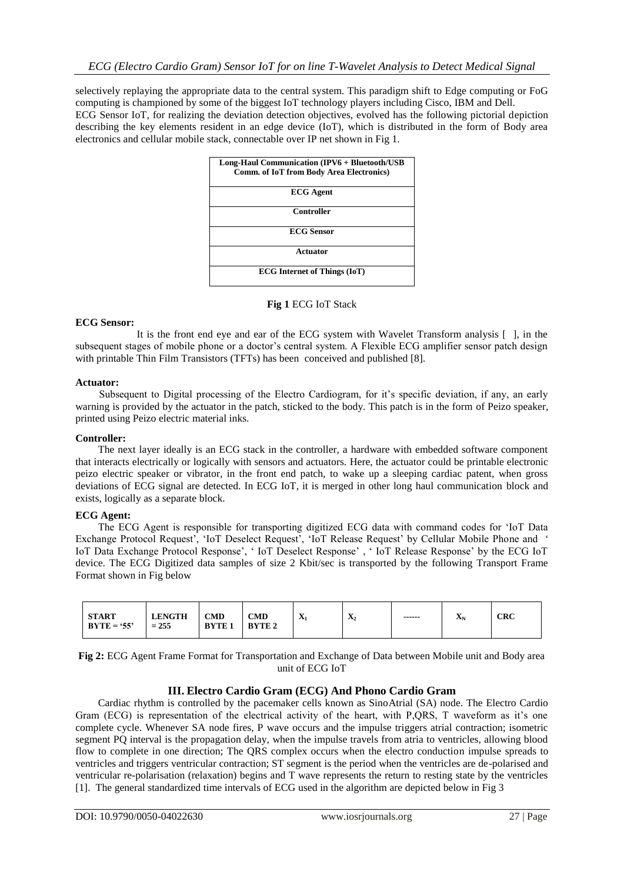selectively replaying the appropriate data to the central system. This paradigm shift to Edge computing or FoG computing is championed by some of the biggest IoT technology players including Cisco, IBM and Dell. ECG Sensor IoT, for realizing the deviation detection objectives, evolved has the following pictorial depiction describing the key elements resident in an edge device (IoT), which is distributed in the form of Body area electronics and cellular mobile stack, connectable over IP net shown in Fig 1.

| Long-Haul Communication (IPV6 + Bluetooth/USB<br><b>Comm. of IoT from Body Area Electronics)</b> |
|--------------------------------------------------------------------------------------------------|
| <b>ECG</b> Agent                                                                                 |
| <b>Controller</b>                                                                                |
| <b>ECG</b> Sensor                                                                                |
| Actuator                                                                                         |
| <b>ECG</b> Internet of Things (IoT)                                                              |

### **Fig 1** ECG IoT Stack

### **ECG Sensor:**

 It is the front end eye and ear of the ECG system with Wavelet Transform analysis [ ], in the subsequent stages of mobile phone or a doctor's central system. A Flexible ECG amplifier sensor patch design with printable Thin Film Transistors (TFTs) has been conceived and published [8].

### **Actuator:**

Subsequent to Digital processing of the Electro Cardiogram, for it's specific deviation, if any, an early warning is provided by the actuator in the patch, sticked to the body. This patch is in the form of Peizo speaker, printed using Peizo electric material inks.

### **Controller:**

The next layer ideally is an ECG stack in the controller, a hardware with embedded software component that interacts electrically or logically with sensors and actuators. Here, the actuator could be printable electronic peizo electric speaker or vibrator, in the front end patch, to wake up a sleeping cardiac patent, when gross deviations of ECG signal are detected. In ECG IoT, it is merged in other long haul communication block and exists, logically as a separate block.

## **ECG Agent:**

The ECG Agent is responsible for transporting digitized ECG data with command codes for "IoT Data Exchange Protocol Request', 'IoT Deselect Request', 'IoT Release Request' by Cellular Mobile Phone and ' IoT Data Exchange Protocol Response", " IoT Deselect Response" , " IoT Release Response" by the ECG IoT device. The ECG Digitized data samples of size 2 Kbit/sec is transported by the following Transport Frame Format shown in Fig below

| <b>LENGTH</b><br><b>START</b><br><b>CMD</b><br><b>CMD</b><br>$BYTE = '55'$<br>$= 255$<br><b>BYTE</b><br><b>BYTE2</b> | $\mathbf{v}$<br>$\Lambda$ | $\mathbf{v}$<br>$\mathbf{A}_2$ | ------ | --<br>ΔN | <b>CRC</b> |
|----------------------------------------------------------------------------------------------------------------------|---------------------------|--------------------------------|--------|----------|------------|
|----------------------------------------------------------------------------------------------------------------------|---------------------------|--------------------------------|--------|----------|------------|

**Fig 2:** ECG Agent Frame Format for Transportation and Exchange of Data between Mobile unit and Body area unit of ECG IoT

## **III. Electro Cardio Gram (ECG) And Phono Cardio Gram**

Cardiac rhythm is controlled by the pacemaker cells known as SinoAtrial (SA) node. The Electro Cardio Gram (ECG) is representation of the electrical activity of the heart, with P,QRS, T waveform as it's one complete cycle. Whenever SA node fires, P wave occurs and the impulse triggers atrial contraction; isometric segment PQ interval is the propagation delay, when the impulse travels from atria to ventricles, allowing blood flow to complete in one direction; The QRS complex occurs when the electro conduction impulse spreads to ventricles and triggers ventricular contraction; ST segment is the period when the ventricles are de-polarised and ventricular re-polarisation (relaxation) begins and T wave represents the return to resting state by the ventricles [1]. The general standardized time intervals of ECG used in the algorithm are depicted below in Fig 3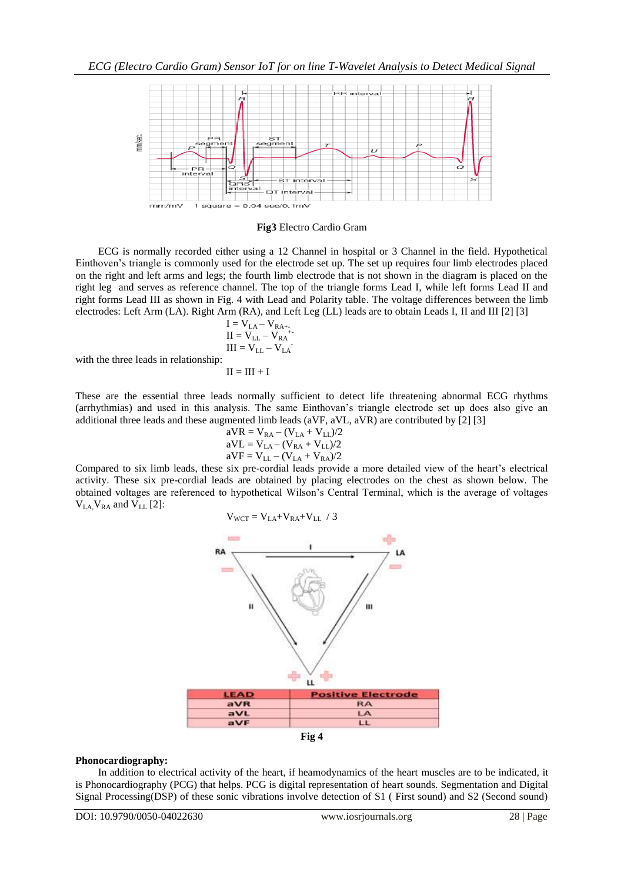

#### **Fig3** Electro Cardio Gram

ECG is normally recorded either using a 12 Channel in hospital or 3 Channel in the field. Hypothetical Einthoven"s triangle is commonly used for the electrode set up. The set up requires four limb electrodes placed on the right and left arms and legs; the fourth limb electrode that is not shown in the diagram is placed on the right leg and serves as reference channel. The top of the triangle forms Lead I, while left forms Lead II and right forms Lead III as shown in Fig. 4 with Lead and Polarity table. The voltage differences between the limb electrodes: Left Arm (LA). Right Arm (RA), and Left Leg (LL) leads are to obtain Leads I, II and III [2] [3]

$$
I = V_{LA} - V_{RA^{++}}
$$
  
\n
$$
II = V_{LL} - V_{RA^{++}}
$$
  
\n
$$
III = V_{LL} - V_{LA}.
$$

with the three leads in relationship:

$$
\Pi = \Pi I + I
$$

These are the essential three leads normally sufficient to detect life threatening abnormal ECG rhythms (arrhythmias) and used in this analysis. The same Einthovan"s triangle electrode set up does also give an additional three leads and these augmented limb leads (aVF, aVL, aVR) are contributed by [2] [3]

aVR = VRA – (VLA + VLL)/2 aVL = VLA – (VRA + VLL)/2 aVF = VLL – (VLA + VRA)/2

Compared to six limb leads, these six pre-cordial leads provide a more detailed view of the heart's electrical activity. These six pre-cordial leads are obtained by placing electrodes on the chest as shown below. The obtained voltages are referenced to hypothetical Wilson"s Central Terminal, which is the average of voltages  $V_{LA}V_{RA}$  and  $V_{LL}$  [2]:

$$
V_{WCT} = V_{LA} + V_{RA} + V_{LL} / 3
$$





### **Phonocardiography:**

In addition to electrical activity of the heart, if heamodynamics of the heart muscles are to be indicated, it is Phonocardiography (PCG) that helps. PCG is digital representation of heart sounds. Segmentation and Digital Signal Processing(DSP) of these sonic vibrations involve detection of S1 ( First sound) and S2 (Second sound)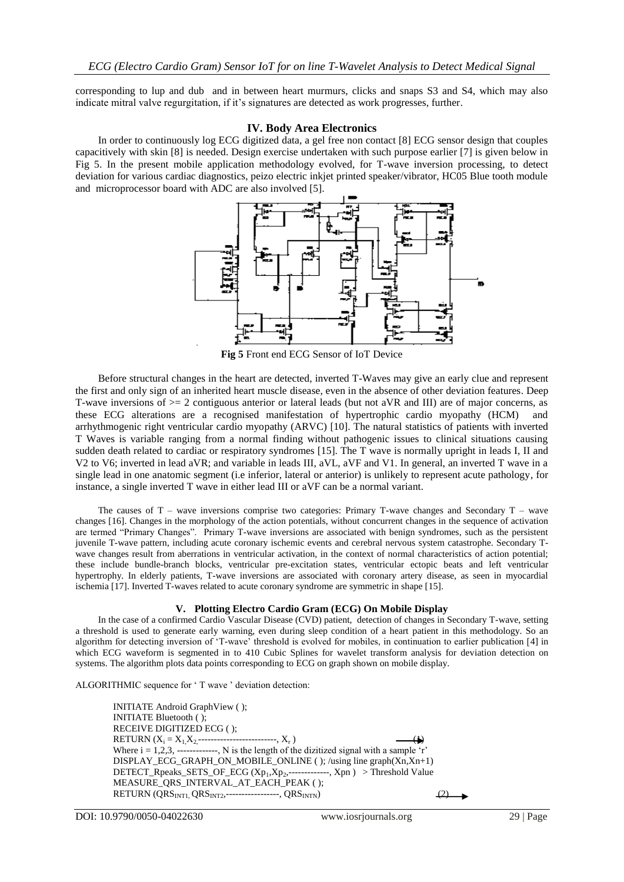corresponding to lup and dub and in between heart murmurs, clicks and snaps S3 and S4, which may also indicate mitral valve regurgitation, if it's signatures are detected as work progresses, further.

#### **IV. Body Area Electronics**

In order to continuously log ECG digitized data, a gel free non contact [8] ECG sensor design that couples capacitively with skin [8] is needed. Design exercise undertaken with such purpose earlier [7] is given below in Fig 5. In the present mobile application methodology evolved, for T-wave inversion processing, to detect deviation for various cardiac diagnostics, peizo electric inkjet printed speaker/vibrator, HC05 Blue tooth module and microprocessor board with ADC are also involved [5].



**Fig 5** Front end ECG Sensor of IoT Device

Before structural changes in the heart are detected, inverted T-Waves may give an early clue and represent the first and only sign of an inherited heart muscle disease, even in the absence of other deviation features. Deep T-wave inversions of  $\geq$  2 contiguous anterior or lateral leads (but not aVR and III) are of major concerns, as these ECG alterations are a recognised manifestation of hypertrophic cardio myopathy (HCM) and arrhythmogenic right ventricular cardio myopathy (ARVC) [10]. The natural statistics of patients with inverted T Waves is variable ranging from a normal finding without pathogenic issues to clinical situations causing sudden death related to cardiac or respiratory syndromes [15]. The T wave is normally upright in leads I, II and V2 to V6; inverted in lead aVR; and variable in leads III, aVL, aVF and V1. In general, an inverted T wave in a single lead in one anatomic segment (i.e inferior, lateral or anterior) is unlikely to represent acute pathology, for instance, a single inverted T wave in either lead III or aVF can be a normal variant.

The causes of  $T$  – wave inversions comprise two categories: Primary T-wave changes and Secondary  $T$  – wave changes [16]. Changes in the morphology of the action potentials, without concurrent changes in the sequence of activation are termed "Primary Changes". Primary T-wave inversions are associated with benign syndromes, such as the persistent juvenile T-wave pattern, including acute coronary ischemic events and cerebral nervous system catastrophe. Secondary Twave changes result from aberrations in ventricular activation, in the context of normal characteristics of action potential; these include bundle-branch blocks, ventricular pre-excitation states, ventricular ectopic beats and left ventricular hypertrophy. In elderly patients, T-wave inversions are associated with coronary artery disease, as seen in myocardial ischemia [17]. Inverted T-waves related to acute coronary syndrome are symmetric in shape [15].

#### **V. Plotting Electro Cardio Gram (ECG) On Mobile Display**

In the case of a confirmed Cardio Vascular Disease (CVD) patient, detection of changes in Secondary T-wave, setting a threshold is used to generate early warning, even during sleep condition of a heart patient in this methodology. So an algorithm for detecting inversion of "T-wave" threshold is evolved for mobiles, in continuation to earlier publication [4] in which ECG waveform is segmented in to 410 Cubic Splines for wavelet transform analysis for deviation detection on systems. The algorithm plots data points corresponding to ECG on graph shown on mobile display.

ALGORITHMIC sequence for 'T wave ' deviation detection:

| <b>INITIATE</b> Android Graph View ();                                                      |  |
|---------------------------------------------------------------------------------------------|--|
| <b>INITIATE Bluetooth ();</b>                                                               |  |
| RECEIVE DIGITIZED ECG ();                                                                   |  |
| RETURN $(X_i = X_1 X_2 \dots \dots \dots \dots \dots \dots \dots \dots X_r)$                |  |
| Where $i = 1,2,3,$ ------------, N is the length of the dizitized signal with a sample 'r'  |  |
| $DISPLAY\_ECG_GGRAPH\_ON\_MOBILE\_ONLINE$ (); /using line graph $(Xn,Xn+1)$                 |  |
| DETECT_Rpeaks_SETS_OF_ECG $(Xp_1,Xp_2, \dots, Xpn) >$ Threshold Value                       |  |
| MEASURE_QRS_INTERVAL_AT_EACH_PEAK();                                                        |  |
| RETURN (QRS <sub>INT1</sub> , QRS <sub>INT2</sub> ,-----------------, QRS <sub>INTN</sub> ) |  |
|                                                                                             |  |